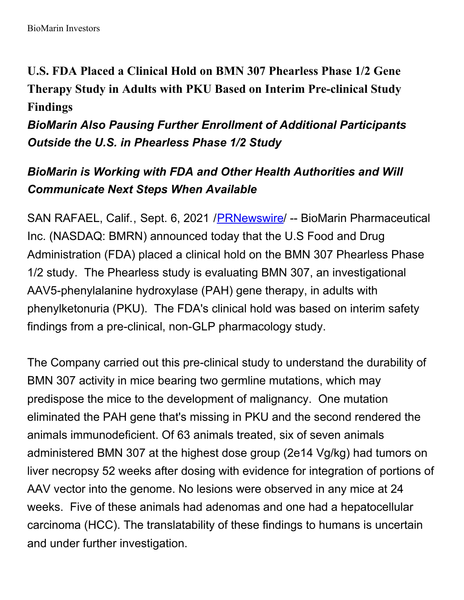# **U.S. FDA Placed a Clinical Hold on BMN 307 Phearless Phase 1/2 Gene Therapy Study in Adults with PKU Based on Interim Pre-clinical Study Findings**

*BioMarin Also Pausing Further Enrollment of Additional Participants Outside the U.S. in Phearless Phase 1/2 Study*

# *BioMarin is Working with FDA and Other Health Authorities and Will Communicate Next Steps When Available*

SAN RAFAEL, Calif., Sept. 6, 2021 /[PRNewswire](http://www.prnewswire.com/)/ -- BioMarin Pharmaceutical Inc. (NASDAQ: BMRN) announced today that the U.S Food and Drug Administration (FDA) placed a clinical hold on the BMN 307 Phearless Phase 1/2 study. The Phearless study is evaluating BMN 307, an investigational AAV5-phenylalanine hydroxylase (PAH) gene therapy, in adults with phenylketonuria (PKU). The FDA's clinical hold was based on interim safety findings from a pre-clinical, non-GLP pharmacology study.

The Company carried out this pre-clinical study to understand the durability of BMN 307 activity in mice bearing two germline mutations, which may predispose the mice to the development of malignancy. One mutation eliminated the PAH gene that's missing in PKU and the second rendered the animals immunodeficient. Of 63 animals treated, six of seven animals administered BMN 307 at the highest dose group (2e14 Vg/kg) had tumors on liver necropsy 52 weeks after dosing with evidence for integration of portions of AAV vector into the genome. No lesions were observed in any mice at 24 weeks. Five of these animals had adenomas and one had a hepatocellular carcinoma (HCC). The translatability of these findings to humans is uncertain and under further investigation.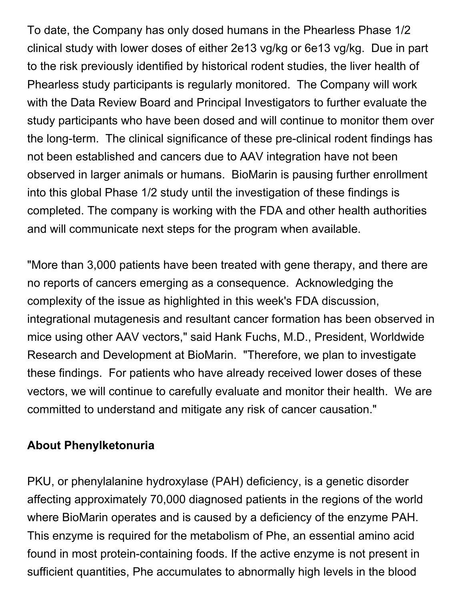To date, the Company has only dosed humans in the Phearless Phase 1/2 clinical study with lower doses of either 2e13 vg/kg or 6e13 vg/kg. Due in part to the risk previously identified by historical rodent studies, the liver health of Phearless study participants is regularly monitored. The Company will work with the Data Review Board and Principal Investigators to further evaluate the study participants who have been dosed and will continue to monitor them over the long-term. The clinical significance of these pre-clinical rodent findings has not been established and cancers due to AAV integration have not been observed in larger animals or humans. BioMarin is pausing further enrollment into this global Phase 1/2 study until the investigation of these findings is completed. The company is working with the FDA and other health authorities and will communicate next steps for the program when available.

"More than 3,000 patients have been treated with gene therapy, and there are no reports of cancers emerging as a consequence. Acknowledging the complexity of the issue as highlighted in this week's FDA discussion, integrational mutagenesis and resultant cancer formation has been observed in mice using other AAV vectors," said Hank Fuchs, M.D., President, Worldwide Research and Development at BioMarin. "Therefore, we plan to investigate these findings. For patients who have already received lower doses of these vectors, we will continue to carefully evaluate and monitor their health. We are committed to understand and mitigate any risk of cancer causation."

## **About Phenylketonuria**

PKU, or phenylalanine hydroxylase (PAH) deficiency, is a genetic disorder affecting approximately 70,000 diagnosed patients in the regions of the world where BioMarin operates and is caused by a deficiency of the enzyme PAH. This enzyme is required for the metabolism of Phe, an essential amino acid found in most protein-containing foods. If the active enzyme is not present in sufficient quantities, Phe accumulates to abnormally high levels in the blood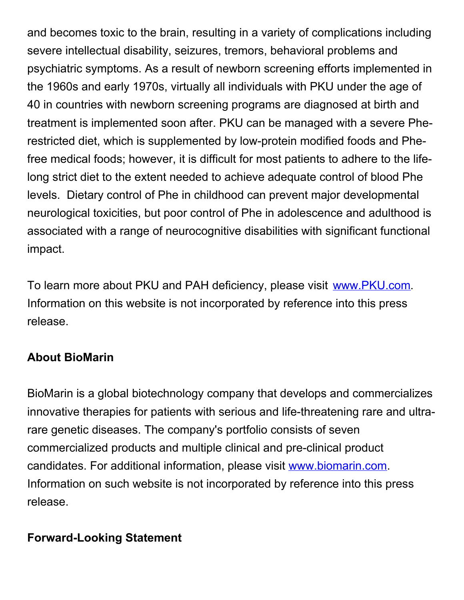and becomes toxic to the brain, resulting in a variety of complications including severe intellectual disability, seizures, tremors, behavioral problems and psychiatric symptoms. As a result of newborn screening efforts implemented in the 1960s and early 1970s, virtually all individuals with PKU under the age of 40 in countries with newborn screening programs are diagnosed at birth and treatment is implemented soon after. PKU can be managed with a severe Pherestricted diet, which is supplemented by low-protein modified foods and Phefree medical foods; however, it is difficult for most patients to adhere to the lifelong strict diet to the extent needed to achieve adequate control of blood Phe levels. Dietary control of Phe in childhood can prevent major developmental neurological toxicities, but poor control of Phe in adolescence and adulthood is associated with a range of neurocognitive disabilities with significant functional impact.

To learn more about PKU and PAH deficiency, please visit [www.PKU.com](https://c212.net/c/link/?t=0&l=en&o=3280575-1&h=575672105&u=https%3A%2F%2Fc212.net%2Fc%2Flink%2F%3Ft%3D0%26l%3Den%26o%3D2592852-1%26h%3D1039743126%26u%3Dhttp%253A%252F%252Fwww.pku.com%252F%26a%3Dwww.PKU.com&a=www.PKU.com). Information on this website is not incorporated by reference into this press release.

### **About BioMarin**

BioMarin is a global biotechnology company that develops and commercializes innovative therapies for patients with serious and life-threatening rare and ultrarare genetic diseases. The company's portfolio consists of seven commercialized products and multiple clinical and pre-clinical product candidates. For additional information, please visit [www.biomarin.com](https://c212.net/c/link/?t=0&l=en&o=3280575-1&h=473141587&u=https%3A%2F%2Fc212.net%2Fc%2Flink%2F%3Ft%3D0%26l%3Den%26o%3D2592852-1%26h%3D2461800811%26u%3Dhttps%253A%252F%252Fc212.net%252Fc%252Flink%252F%253Ft%253D0%2526l%253Den%2526o%253D2369755-1%2526h%253D586143538%2526u%253Dhttp%25253A%25252F%25252Fwww.biomarin.com%25252F%2526a%253Dwww.biomarin.com%26a%3Dwww.biomarin.com&a=www.biomarin.com). Information on such website is not incorporated by reference into this press release.

### **Forward-Looking Statement**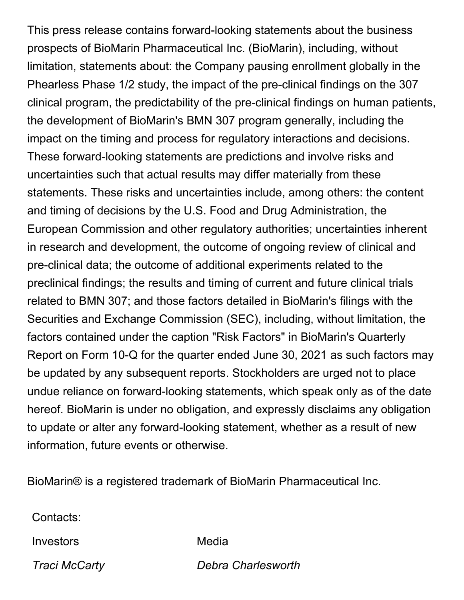This press release contains forward-looking statements about the business prospects of BioMarin Pharmaceutical Inc. (BioMarin), including, without limitation, statements about: the Company pausing enrollment globally in the Phearless Phase 1/2 study, the impact of the pre-clinical findings on the 307 clinical program, the predictability of the pre-clinical findings on human patients, the development of BioMarin's BMN 307 program generally, including the impact on the timing and process for regulatory interactions and decisions. These forward-looking statements are predictions and involve risks and uncertainties such that actual results may differ materially from these statements. These risks and uncertainties include, among others: the content and timing of decisions by the U.S. Food and Drug Administration, the European Commission and other regulatory authorities; uncertainties inherent in research and development, the outcome of ongoing review of clinical and pre-clinical data; the outcome of additional experiments related to the preclinical findings; the results and timing of current and future clinical trials related to BMN 307; and those factors detailed in BioMarin's filings with the Securities and Exchange Commission (SEC), including, without limitation, the factors contained under the caption "Risk Factors" in BioMarin's Quarterly Report on Form 10-Q for the quarter ended June 30, 2021 as such factors may be updated by any subsequent reports. Stockholders are urged not to place undue reliance on forward-looking statements, which speak only as of the date hereof. BioMarin is under no obligation, and expressly disclaims any obligation to update or alter any forward-looking statement, whether as a result of new information, future events or otherwise.

BioMarin® is a registered trademark of BioMarin Pharmaceutical Inc.

Contacts:

Investors Media

*Traci McCarty Debra Charlesworth*